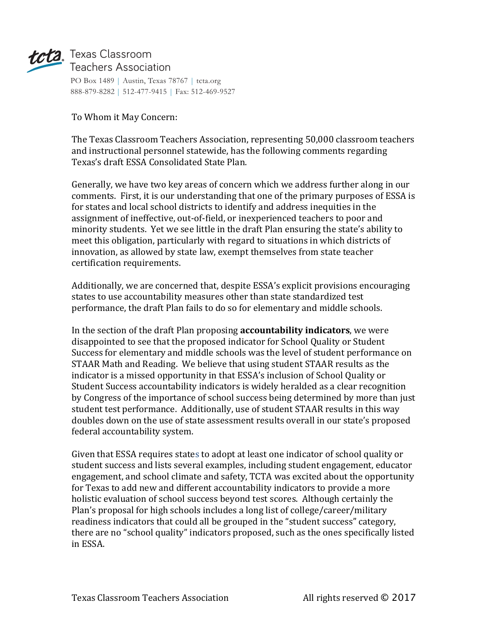

## tcta. Texas Classroom Teachers Association

PO Box 1489 | Austin, Texas 78767 | tcta.org 888-879-8282 | 512-477-9415 | Fax: 512-469-9527

To Whom it May Concern:

The Texas Classroom Teachers Association, representing 50,000 classroom teachers and instructional personnel statewide, has the following comments regarding Texas's draft ESSA Consolidated State Plan.

Generally, we have two key areas of concern which we address further along in our comments. First, it is our understanding that one of the primary purposes of ESSA is for states and local school districts to identify and address inequities in the assignment of ineffective, out-of-field, or inexperienced teachers to poor and minority students. Yet we see little in the draft Plan ensuring the state's ability to meet this obligation, particularly with regard to situations in which districts of innovation, as allowed by state law, exempt themselves from state teacher certification requirements.

Additionally, we are concerned that, despite ESSA's explicit provisions encouraging states to use accountability measures other than state standardized test performance, the draft Plan fails to do so for elementary and middle schools.

In the section of the draft Plan proposing **accountability indicators**, we were disappointed to see that the proposed indicator for School Quality or Student Success for elementary and middle schools was the level of student performance on STAAR Math and Reading. We believe that using student STAAR results as the indicator is a missed opportunity in that ESSA's inclusion of School Quality or Student Success accountability indicators is widely heralded as a clear recognition by Congress of the importance of school success being determined by more than just student test performance. Additionally, use of student STAAR results in this way doubles down on the use of state assessment results overall in our state's proposed federal accountability system.

Given that ESSA requires states to adopt at least one indicator of school quality or student success and lists several examples, including student engagement, educator engagement, and school climate and safety, TCTA was excited about the opportunity for Texas to add new and different accountability indicators to provide a more holistic evaluation of school success beyond test scores. Although certainly the Plan's proposal for high schools includes a long list of college/career/military readiness indicators that could all be grouped in the "student success" category, there are no "school quality" indicators proposed, such as the ones specifically listed in ESSA.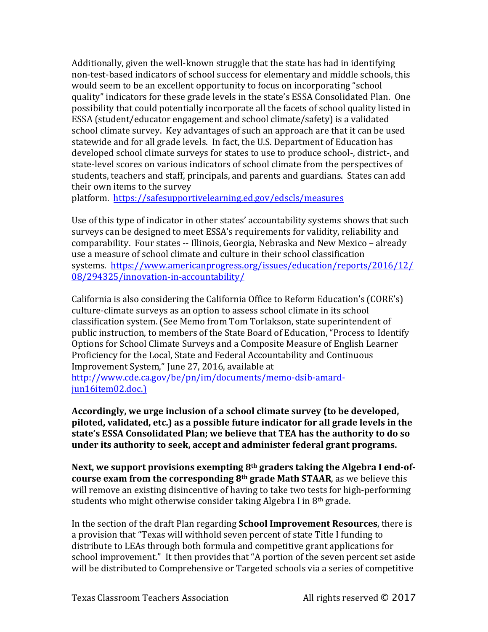Additionally, given the well-known struggle that the state has had in identifying non-test-based indicators of school success for elementary and middle schools, this would seem to be an excellent opportunity to focus on incorporating "school quality" indicators for these grade levels in the state's ESSA Consolidated Plan. One possibility that could potentially incorporate all the facets of school quality listed in ESSA (student/educator engagement and school climate/safety) is a validated school climate survey. Key advantages of such an approach are that it can be used statewide and for all grade levels. In fact, the U.S. Department of Education has developed school climate surveys for states to use to produce school-, district-, and state-level scores on various indicators of school climate from the perspectives of students, teachers and staff, principals, and parents and guardians. States can add their own items to the survey

platform. https://safesupportivelearning.ed.gov/edscls/measures

Use of this type of indicator in other states' accountability systems shows that such surveys can be designed to meet ESSA's requirements for validity, reliability and comparability. Four states -- Illinois, Georgia, Nebraska and New Mexico – already use a measure of school climate and culture in their school classification systems. https://www.americanprogress.org/issues/education/reports/2016/12/ 08/294325/innovation-in-accountability/

California is also considering the California Office to Reform Education's (CORE's) culture-climate surveys as an option to assess school climate in its school classification system. (See Memo from Tom Torlakson, state superintendent of public instruction, to members of the State Board of Education, "Process to Identify Options for School Climate Surveys and a Composite Measure of English Learner Proficiency for the Local, State and Federal Accountability and Continuous Improvement System," June 27, 2016, available at

http://www.cde.ca.gov/be/pn/im/documents/memo-dsib-amardjun16item02.doc.)

Accordingly, we urge inclusion of a school climate survey (to be developed, piloted, validated, etc.) as a possible future indicator for all grade levels in the state's ESSA Consolidated Plan; we believe that TEA has the authority to do so under its authority to seek, accept and administer federal grant programs.

Next, we support provisions exempting 8<sup>th</sup> graders taking the Algebra I end-of**course exam from the corresponding 8<sup>th</sup> grade Math STAAR**, as we believe this will remove an existing disincentive of having to take two tests for high-performing students who might otherwise consider taking Algebra I in  $8<sup>th</sup>$  grade.

In the section of the draft Plan regarding **School Improvement Resources**, there is a provision that "Texas will withhold seven percent of state Title I funding to distribute to LEAs through both formula and competitive grant applications for school improvement." It then provides that "A portion of the seven percent set aside will be distributed to Comprehensive or Targeted schools via a series of competitive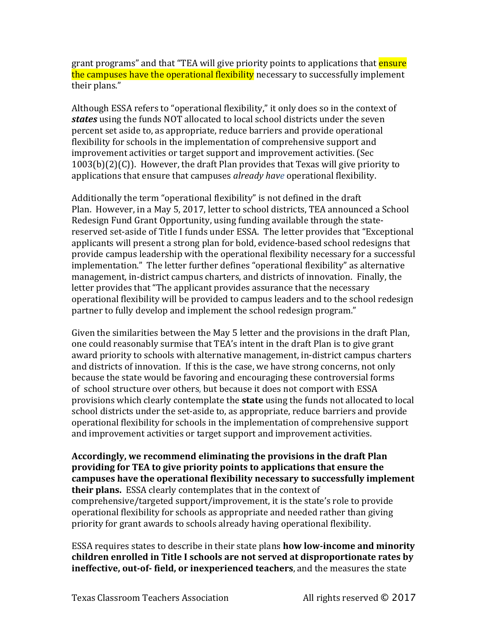grant programs" and that "TEA will give priority points to applications that **ensure** the campuses have the operational flexibility necessary to successfully implement their plans."

Although ESSA refers to "operational flexibility," it only does so in the context of *states* using the funds NOT allocated to local school districts under the seven percent set aside to, as appropriate, reduce barriers and provide operational flexibility for schools in the implementation of comprehensive support and improvement activities or target support and improvement activities. (Sec  $1003(b)(2)(C)$ ). However, the draft Plan provides that Texas will give priority to applications that ensure that campuses *already have* operational flexibility.

Additionally the term "operational flexibility" is not defined in the draft Plan. However, in a May 5, 2017, letter to school districts, TEA announced a School Redesign Fund Grant Opportunity, using funding available through the statereserved set-aside of Title I funds under ESSA. The letter provides that "Exceptional applicants will present a strong plan for bold, evidence-based school redesigns that provide campus leadership with the operational flexibility necessary for a successful implementation." The letter further defines "operational flexibility" as alternative management, in-district campus charters, and districts of innovation. Finally, the letter provides that "The applicant provides assurance that the necessary operational flexibility will be provided to campus leaders and to the school redesign partner to fully develop and implement the school redesign program."

Given the similarities between the May 5 letter and the provisions in the draft Plan, one could reasonably surmise that TEA's intent in the draft Plan is to give grant award priority to schools with alternative management, in-district campus charters and districts of innovation. If this is the case, we have strong concerns, not only because the state would be favoring and encouraging these controversial forms of school structure over others, but because it does not comport with ESSA provisions which clearly contemplate the **state** using the funds not allocated to local school districts under the set-aside to, as appropriate, reduce barriers and provide operational flexibility for schools in the implementation of comprehensive support and improvement activities or target support and improvement activities.

Accordingly, we recommend eliminating the provisions in the draft Plan **providing for TEA to give priority points to applications that ensure the** campuses have the operational flexibility necessary to successfully implement **their plans.** ESSA clearly contemplates that in the context of comprehensive/targeted support/improvement, it is the state's role to provide operational flexibility for schools as appropriate and needed rather than giving priority for grant awards to schools already having operational flexibility.

ESSA requires states to describe in their state plans **how low-income and minority** children enrolled in Title I schools are not served at disproportionate rates by **ineffective, out-of-** field, or inexperienced teachers, and the measures the state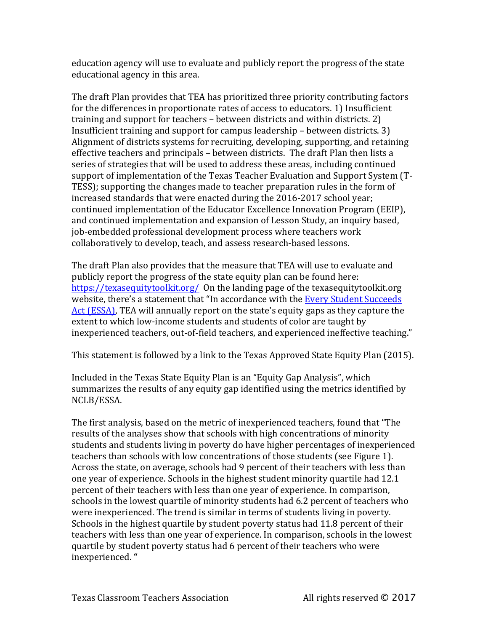education agency will use to evaluate and publicly report the progress of the state educational agency in this area.

The draft Plan provides that TEA has prioritized three priority contributing factors for the differences in proportionate rates of access to educators. 1) Insufficient training and support for teachers – between districts and within districts. 2) Insufficient training and support for campus leadership  $-$  between districts. 3) Alignment of districts systems for recruiting, developing, supporting, and retaining effective teachers and principals - between districts. The draft Plan then lists a series of strategies that will be used to address these areas, including continued support of implementation of the Texas Teacher Evaluation and Support System (T-TESS); supporting the changes made to teacher preparation rules in the form of increased standards that were enacted during the 2016-2017 school year; continued implementation of the Educator Excellence Innovation Program (EEIP), and continued implementation and expansion of Lesson Study, an inquiry based, job-embedded professional development process where teachers work collaboratively to develop, teach, and assess research-based lessons.

The draft Plan also provides that the measure that TEA will use to evaluate and publicly report the progress of the state equity plan can be found here: https://texasequitytoolkit.org/ On the landing page of the texasequitytoolkit.org website, there's a statement that "In accordance with the Every Student Succeeds Act (ESSA), TEA will annually report on the state's equity gaps as they capture the extent to which low-income students and students of color are taught by inexperienced teachers, out-of-field teachers, and experienced ineffective teaching."

This statement is followed by a link to the Texas Approved State Equity Plan (2015).

Included in the Texas State Equity Plan is an "Equity Gap Analysis", which summarizes the results of any equity gap identified using the metrics identified by NCLB/ESSA.

The first analysis, based on the metric of inexperienced teachers, found that "The results of the analyses show that schools with high concentrations of minority students and students living in poverty do have higher percentages of inexperienced teachers than schools with low concentrations of those students (see Figure 1). Across the state, on average, schools had 9 percent of their teachers with less than one year of experience. Schools in the highest student minority quartile had 12.1 percent of their teachers with less than one year of experience. In comparison, schools in the lowest quartile of minority students had 6.2 percent of teachers who were inexperienced. The trend is similar in terms of students living in poverty. Schools in the highest quartile by student poverty status had 11.8 percent of their teachers with less than one year of experience. In comparison, schools in the lowest quartile by student poverty status had 6 percent of their teachers who were inexperienced. **"**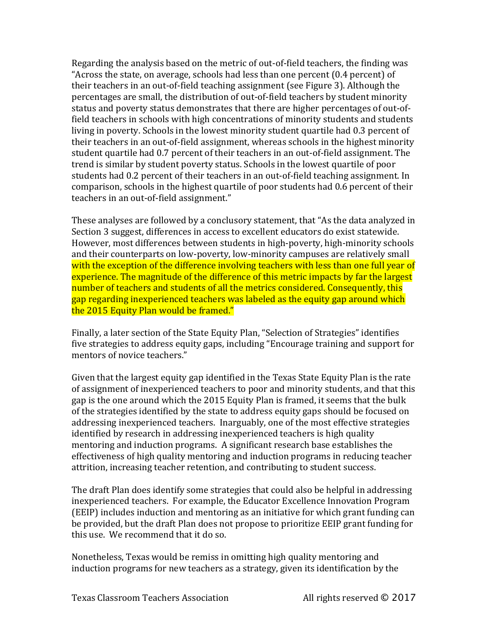Regarding the analysis based on the metric of out-of-field teachers, the finding was "Across the state, on average, schools had less than one percent  $(0.4$  percent) of their teachers in an out-of-field teaching assignment (see Figure 3). Although the percentages are small, the distribution of out-of-field teachers by student minority status and poverty status demonstrates that there are higher percentages of out-offield teachers in schools with high concentrations of minority students and students living in poverty. Schools in the lowest minority student quartile had 0.3 percent of their teachers in an out-of-field assignment, whereas schools in the highest minority student quartile had 0.7 percent of their teachers in an out-of-field assignment. The trend is similar by student poverty status. Schools in the lowest quartile of poor students had 0.2 percent of their teachers in an out-of-field teaching assignment. In comparison, schools in the highest quartile of poor students had 0.6 percent of their teachers in an out-of-field assignment."

These analyses are followed by a conclusory statement, that "As the data analyzed in Section 3 suggest, differences in access to excellent educators do exist statewide. However, most differences between students in high-poverty, high-minority schools and their counterparts on low-poverty, low-minority campuses are relatively small with the exception of the difference involving teachers with less than one full year of experience. The magnitude of the difference of this metric impacts by far the largest number of teachers and students of all the metrics considered. Consequently, this gap regarding inexperienced teachers was labeled as the equity gap around which the 2015 Equity Plan would be framed."

Finally, a later section of the State Equity Plan, "Selection of Strategies" identifies five strategies to address equity gaps, including "Encourage training and support for mentors of novice teachers."

Given that the largest equity gap identified in the Texas State Equity Plan is the rate of assignment of inexperienced teachers to poor and minority students, and that this gap is the one around which the 2015 Equity Plan is framed, it seems that the bulk of the strategies identified by the state to address equity gaps should be focused on addressing inexperienced teachers. Inarguably, one of the most effective strategies identified by research in addressing inexperienced teachers is high quality mentoring and induction programs. A significant research base establishes the effectiveness of high quality mentoring and induction programs in reducing teacher attrition, increasing teacher retention, and contributing to student success.

The draft Plan does identify some strategies that could also be helpful in addressing inexperienced teachers. For example, the Educator Excellence Innovation Program (EEIP) includes induction and mentoring as an initiative for which grant funding can be provided, but the draft Plan does not propose to prioritize EEIP grant funding for this use. We recommend that it do so.

Nonetheless, Texas would be remiss in omitting high quality mentoring and induction programs for new teachers as a strategy, given its identification by the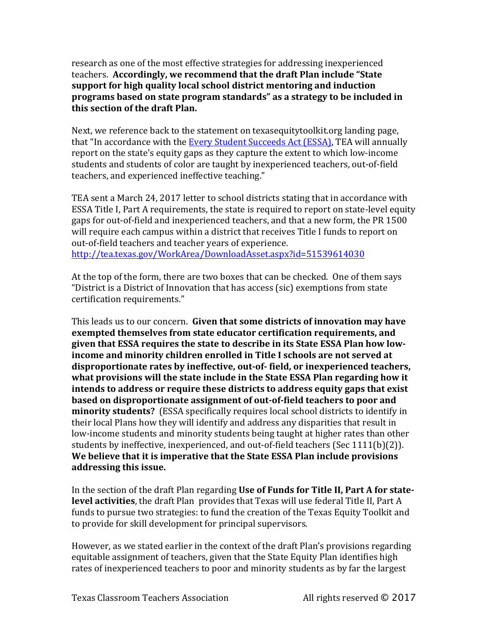research as one of the most effective strategies for addressing inexperienced teachers. Accordingly, we recommend that the draft Plan include "State support for high quality local school district mentoring and induction **programs based on state program standards"** as a strategy to be included in **this section of the draft Plan.**

Next, we reference back to the statement on texasequitytoolkit.org landing page, that "In accordance with the **Every Student Succeeds Act (ESSA)**, TEA will annually report on the state's equity gaps as they capture the extent to which low-income students and students of color are taught by inexperienced teachers, out-of-field teachers, and experienced ineffective teaching."

TEA sent a March 24, 2017 letter to school districts stating that in accordance with ESSA Title I, Part A requirements, the state is required to report on state-level equity gaps for out-of-field and inexperienced teachers, and that a new form, the PR 1500 will require each campus within a district that receives Title I funds to report on out-of-field teachers and teacher years of experience. http://tea.texas.gov/WorkArea/DownloadAsset.aspx?id=51539614030

At the top of the form, there are two boxes that can be checked. One of them says "District is a District of Innovation that has access (sic) exemptions from state certification requirements."

This leads us to our concern. Given that some districts of innovation may have **exempted themselves from state educator certification requirements, and** given that ESSA requires the state to describe in its State ESSA Plan how lowincome and minority children enrolled in Title I schools are not served at disproportionate rates by ineffective, out-of- field, or inexperienced teachers, what provisions will the state include in the State ESSA Plan regarding how it **intends to address or require these districts to address equity gaps that exist based on disproportionate assignment of out-of-field teachers to poor and minority students?** (ESSA specifically requires local school districts to identify in their local Plans how they will identify and address any disparities that result in low-income students and minority students being taught at higher rates than other students by ineffective, inexperienced, and out-of-field teachers (Sec 1111(b)(2)). We believe that it is imperative that the State ESSA Plan include provisions **addressing this issue.**

In the section of the draft Plan regarding **Use of Funds for Title II, Part A for statelevel activities**, the draft Plan provides that Texas will use federal Title II, Part A funds to pursue two strategies: to fund the creation of the Texas Equity Toolkit and to provide for skill development for principal supervisors.

However, as we stated earlier in the context of the draft Plan's provisions regarding equitable assignment of teachers, given that the State Equity Plan identifies high rates of inexperienced teachers to poor and minority students as by far the largest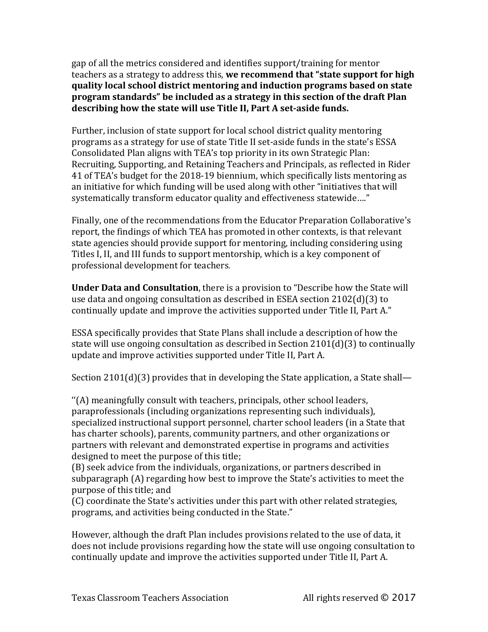gap of all the metrics considered and identifies support/training for mentor teachers as a strategy to address this, we recommend that "state support for high **quality local school district mentoring and induction programs based on state program standards" be included as a strategy in this section of the draft Plan** describing how the state will use Title II, Part A set-aside funds.

Further, inclusion of state support for local school district quality mentoring programs as a strategy for use of state Title II set-aside funds in the state's ESSA Consolidated Plan aligns with TEA's top priority in its own Strategic Plan: Recruiting, Supporting, and Retaining Teachers and Principals, as reflected in Rider 41 of TEA's budget for the 2018-19 biennium, which specifically lists mentoring as an initiative for which funding will be used along with other "initiatives that will systematically transform educator quality and effectiveness statewide...."

Finally, one of the recommendations from the Educator Preparation Collaborative's report, the findings of which TEA has promoted in other contexts, is that relevant state agencies should provide support for mentoring, including considering using Titles I, II, and III funds to support mentorship, which is a key component of professional development for teachers.

**Under Data and Consultation**, there is a provision to "Describe how the State will use data and ongoing consultation as described in ESEA section  $2102(d)(3)$  to continually update and improve the activities supported under Title II, Part A."

ESSA specifically provides that State Plans shall include a description of how the state will use ongoing consultation as described in Section  $2101(d)(3)$  to continually update and improve activities supported under Title II, Part A.

Section  $2101(d)(3)$  provides that in developing the State application, a State shall—

"(A) meaningfully consult with teachers, principals, other school leaders, paraprofessionals (including organizations representing such individuals), specialized instructional support personnel, charter school leaders (in a State that has charter schools), parents, community partners, and other organizations or partners with relevant and demonstrated expertise in programs and activities designed to meet the purpose of this title;

(B) seek advice from the individuals, organizations, or partners described in subparagraph (A) regarding how best to improve the State's activities to meet the purpose of this title; and

(C) coordinate the State's activities under this part with other related strategies, programs, and activities being conducted in the State."

However, although the draft Plan includes provisions related to the use of data, it does not include provisions regarding how the state will use ongoing consultation to continually update and improve the activities supported under Title II, Part A.